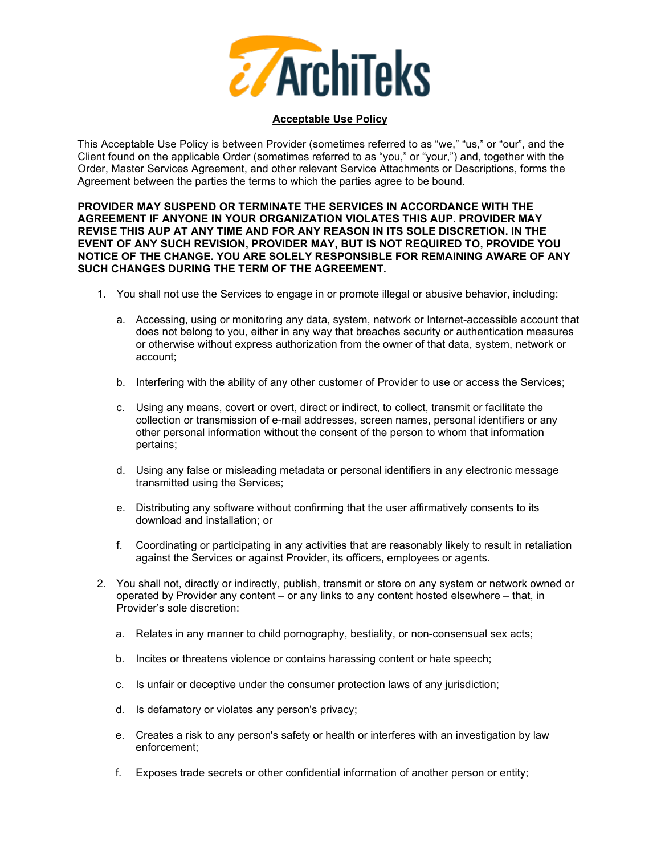

## **Acceptable Use Policy**

This Acceptable Use Policy is between Provider (sometimes referred to as "we," "us," or "our", and the Client found on the applicable Order (sometimes referred to as "you," or "your,") and, together with the Order, Master Services Agreement, and other relevant Service Attachments or Descriptions, forms the Agreement between the parties the terms to which the parties agree to be bound.

## **PROVIDER MAY SUSPEND OR TERMINATE THE SERVICES IN ACCORDANCE WITH THE AGREEMENT IF ANYONE IN YOUR ORGANIZATION VIOLATES THIS AUP. PROVIDER MAY REVISE THIS AUP AT ANY TIME AND FOR ANY REASON IN ITS SOLE DISCRETION. IN THE EVENT OF ANY SUCH REVISION, PROVIDER MAY, BUT IS NOT REQUIRED TO, PROVIDE YOU NOTICE OF THE CHANGE. YOU ARE SOLELY RESPONSIBLE FOR REMAINING AWARE OF ANY SUCH CHANGES DURING THE TERM OF THE AGREEMENT.**

- 1. You shall not use the Services to engage in or promote illegal or abusive behavior, including:
	- a. Accessing, using or monitoring any data, system, network or Internet-accessible account that does not belong to you, either in any way that breaches security or authentication measures or otherwise without express authorization from the owner of that data, system, network or account;
	- b. Interfering with the ability of any other customer of Provider to use or access the Services;
	- c. Using any means, covert or overt, direct or indirect, to collect, transmit or facilitate the collection or transmission of e-mail addresses, screen names, personal identifiers or any other personal information without the consent of the person to whom that information pertains;
	- d. Using any false or misleading metadata or personal identifiers in any electronic message transmitted using the Services;
	- e. Distributing any software without confirming that the user affirmatively consents to its download and installation; or
	- f. Coordinating or participating in any activities that are reasonably likely to result in retaliation against the Services or against Provider, its officers, employees or agents.
- 2. You shall not, directly or indirectly, publish, transmit or store on any system or network owned or operated by Provider any content – or any links to any content hosted elsewhere – that, in Provider's sole discretion:
	- a. Relates in any manner to child pornography, bestiality, or non-consensual sex acts;
	- b. Incites or threatens violence or contains harassing content or hate speech;
	- c. Is unfair or deceptive under the consumer protection laws of any jurisdiction;
	- d. Is defamatory or violates any person's privacy;
	- e. Creates a risk to any person's safety or health or interferes with an investigation by law enforcement;
	- f. Exposes trade secrets or other confidential information of another person or entity;